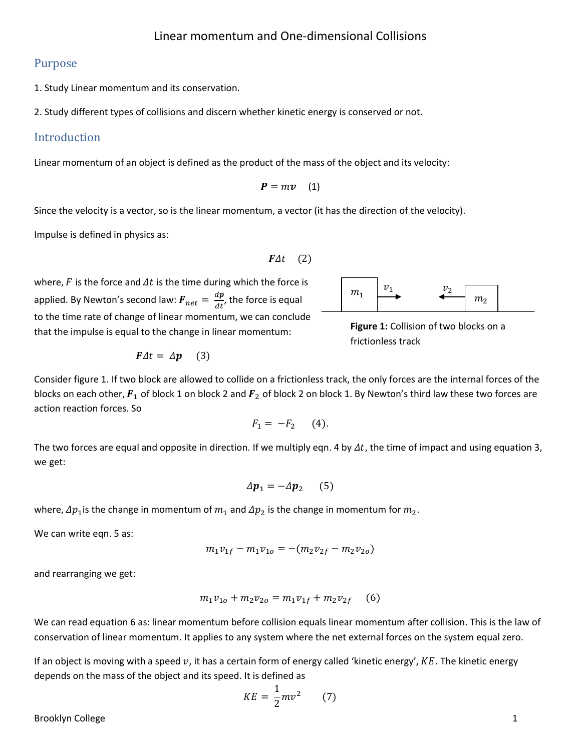## Purpose

1. Study Linear momentum and its conservation.

2. Study different types of collisions and discern whether kinetic energy is conserved or not.

## **Introduction**

Linear momentum of an object is defined as the product of the mass of the object and its velocity:

$$
P=mv \quad (1)
$$

Since the velocity is a vector, so is the linear momentum, a vector (it has the direction of the velocity).

Impulse is defined in physics as:

$$
\boldsymbol{F}\varDelta t\quad(2)
$$

where, F is the force and  $\Delta t$  is the time during which the force is applied. By Newton's second law:  $\bm{F}_{net} = \frac{d}{d}$  $\frac{dp}{dt}$ , the force is equal to the time rate of change of linear momentum, we can conclude that the impulse is equal to the change in linear momentum:

$$
\mathbf{F}\varDelta t = \varDelta \mathbf{p} \quad (3)
$$



$$
F_1 = -F_2 \qquad (4).
$$

The two forces are equal and opposite in direction. If we multiply eqn. 4 by  $\Delta t$ , the time of impact and using equation 3, we get:

$$
\Delta p_1 = -\Delta p_2 \qquad (5)
$$

where,  $\Delta p_1$  is the change in momentum of  $m_1$  and  $\Delta p_2$  is the change in momentum for  $m_2$ .

We can write egn. 5 as:

$$
m_1v_{1f} - m_1v_{1o} = -(m_2v_{2f} - m_2v_{2o})
$$

and rearranging we get:

$$
m_1v_{10} + m_2v_{20} = m_1v_{1f} + m_2v_{2f} \quad (6)
$$

We can read equation 6 as: linear momentum before collision equals linear momentum after collision. This is the law of conservation of linear momentum. It applies to any system where the net external forces on the system equal zero.

If an object is moving with a speed  $v$ , it has a certain form of energy called 'kinetic energy',  $KE$ . The kinetic energy depends on the mass of the object and its speed. It is defined as

$$
KE = \frac{1}{2}mv^2 \qquad (7)
$$

Brooklyn College 1



**Figure 1:** Collision of two blocks on a frictionless track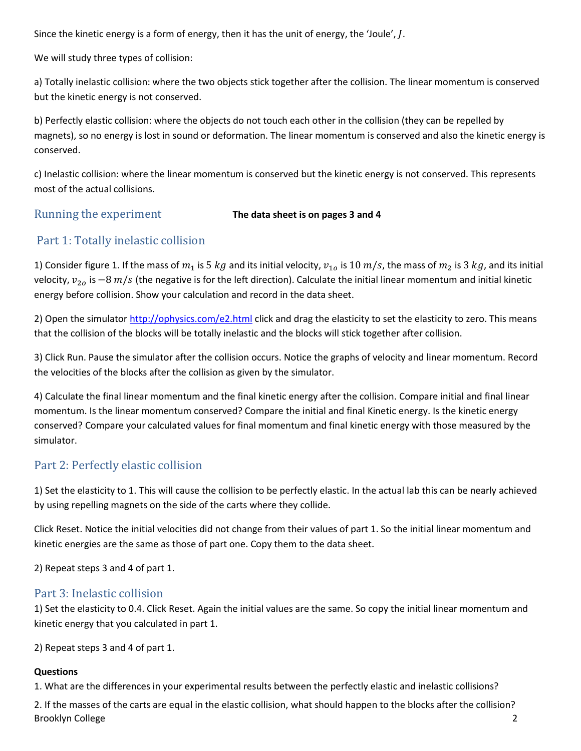Since the kinetic energy is a form of energy, then it has the unit of energy, the 'Joule',  $J$ .

We will study three types of collision:

a) Totally inelastic collision: where the two objects stick together after the collision. The linear momentum is conserved but the kinetic energy is not conserved.

b) Perfectly elastic collision: where the objects do not touch each other in the collision (they can be repelled by magnets), so no energy is lost in sound or deformation. The linear momentum is conserved and also the kinetic energy is conserved.

c) Inelastic collision: where the linear momentum is conserved but the kinetic energy is not conserved. This represents most of the actual collisions.

### Running the experiment **The data sheet is on pages 3 and 4**

# Part 1: Totally inelastic collision

1) Consider figure 1. If the mass of  $m_1$  is 5 kg and its initial velocity,  $v_{10}$  is 10  $m/s$ , the mass of  $m_2$  is 3 kg, and its initial velocity,  $v_{20}$  is  $-8$  m/s (the negative is for the left direction). Calculate the initial linear momentum and initial kinetic energy before collision. Show your calculation and record in the data sheet.

2) Open the simulato[r http://ophysics.com/e2.html](http://ophysics.com/e2.html) click and drag the elasticity to set the elasticity to zero. This means that the collision of the blocks will be totally inelastic and the blocks will stick together after collision.

3) Click Run. Pause the simulator after the collision occurs. Notice the graphs of velocity and linear momentum. Record the velocities of the blocks after the collision as given by the simulator.

4) Calculate the final linear momentum and the final kinetic energy after the collision. Compare initial and final linear momentum. Is the linear momentum conserved? Compare the initial and final Kinetic energy. Is the kinetic energy conserved? Compare your calculated values for final momentum and final kinetic energy with those measured by the simulator.

# Part 2: Perfectly elastic collision

1) Set the elasticity to 1. This will cause the collision to be perfectly elastic. In the actual lab this can be nearly achieved by using repelling magnets on the side of the carts where they collide.

Click Reset. Notice the initial velocities did not change from their values of part 1. So the initial linear momentum and kinetic energies are the same as those of part one. Copy them to the data sheet.

2) Repeat steps 3 and 4 of part 1.

# Part 3: Inelastic collision

1) Set the elasticity to 0.4. Click Reset. Again the initial values are the same. So copy the initial linear momentum and kinetic energy that you calculated in part 1.

2) Repeat steps 3 and 4 of part 1.

### **Questions**

1. What are the differences in your experimental results between the perfectly elastic and inelastic collisions?

Brooklyn College 2 2. If the masses of the carts are equal in the elastic collision, what should happen to the blocks after the collision?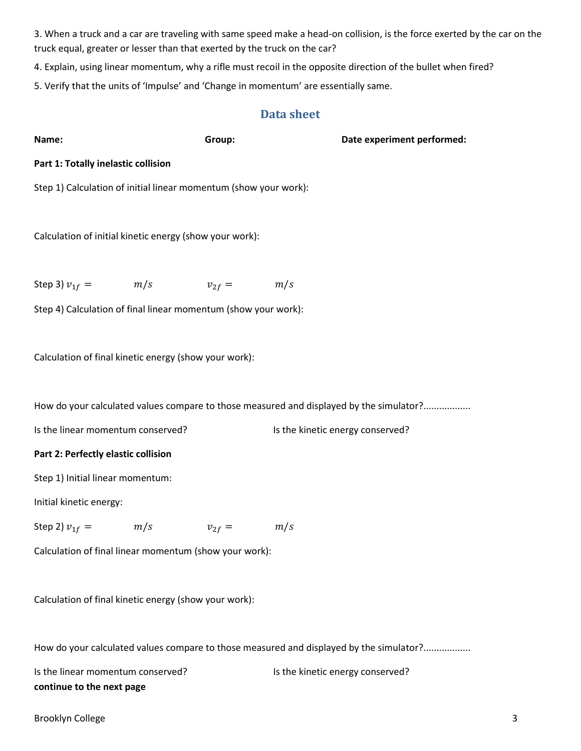3. When a truck and a car are traveling with same speed make a head-on collision, is the force exerted by the car on the truck equal, greater or lesser than that exerted by the truck on the car?

4. Explain, using linear momentum, why a rifle must recoil in the opposite direction of the bullet when fired?

5. Verify that the units of 'Impulse' and 'Change in momentum' are essentially same.

## **Data sheet**

 $m/s$ 

| Name:                                                            | Group: | Date experiment performed: |
|------------------------------------------------------------------|--------|----------------------------|
| Part 1: Totally inelastic collision                              |        |                            |
| Step 1) Calculation of initial linear momentum (show your work): |        |                            |
|                                                                  |        |                            |
| Calculation of initial kinetic energy (show your work):          |        |                            |
|                                                                  |        |                            |

Step 4) Calculation of final linear momentum (show your work):

Calculation of final kinetic energy (show your work):

Step 3)  $v_{1f} = m/s$   $v_{2f} =$ 

How do your calculated values compare to those measured and displayed by the simulator?.................

Is the linear momentum conserved? Is the kinetic energy conserved?

#### **Part 2: Perfectly elastic collision**

Step 1) Initial linear momentum:

Initial kinetic energy:

Step 2)  $v_{1f} = m/s$  $v_{2f} =$  $m/s$ 

Calculation of final linear momentum (show your work):

Calculation of final kinetic energy (show your work):

How do your calculated values compare to those measured and displayed by the simulator?..................

Is the linear momentum conserved? Is the kinetic energy conserved? **continue to the next page**

Brooklyn College 33